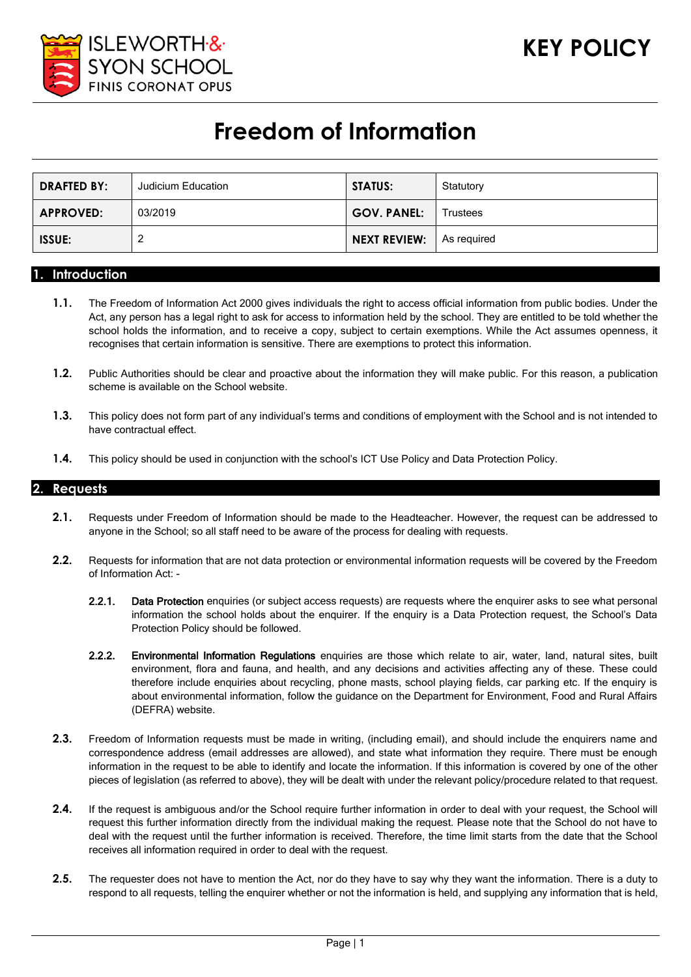

# **Freedom of Information**

| <b>DRAFTED BY:</b> | Judicium Education | <b>STATUS:</b>     | Statutory   |
|--------------------|--------------------|--------------------|-------------|
| <b>APPROVED:</b>   | 03/2019            | <b>GOV. PANEL:</b> | Trustees    |
| <b>ISSUE:</b>      |                    | NEXT REVIEW:       | As reguired |

#### **1. Introduction**

- **1.1.** The Freedom of Information Act 2000 gives individuals the right to access official information from public bodies. Under the Act, any person has a legal right to ask for access to information held by the school. They are entitled to be told whether the school holds the information, and to receive a copy, subject to certain exemptions. While the Act assumes openness, it recognises that certain information is sensitive. There are exemptions to protect this information.
- **1.2.** Public Authorities should be clear and proactive about the information they will make public. For this reason, a publication scheme is available on the School website.
- **1.3.** This policy does not form part of any individual's terms and conditions of employment with the School and is not intended to have contractual effect.
- **1.4.** This policy should be used in conjunction with the school's ICT Use Policy and Data Protection Policy.

## **2. Requests**

- **2.1.** Requests under Freedom of Information should be made to the Headteacher. However, the request can be addressed to anyone in the School; so all staff need to be aware of the process for dealing with requests.
- **2.2.** Requests for information that are not data protection or environmental information requests will be covered by the Freedom of Information Act: -
	- 2.2.1. Data Protection enquiries (or subject access requests) are requests where the enquirer asks to see what personal information the school holds about the enquirer. If the enquiry is a Data Protection request, the School's Data Protection Policy should be followed.
	- 2.2.2. Environmental Information Regulations enquiries are those which relate to air, water, land, natural sites, built environment, flora and fauna, and health, and any decisions and activities affecting any of these. These could therefore include enquiries about recycling, phone masts, school playing fields, car parking etc. If the enquiry is about environmental information, follow the guidance on the Department for Environment, Food and Rural Affairs (DEFRA) website.
- **2.3.** Freedom of Information requests must be made in writing, (including email), and should include the enquirers name and correspondence address (email addresses are allowed), and state what information they require. There must be enough information in the request to be able to identify and locate the information. If this information is covered by one of the other pieces of legislation (as referred to above), they will be dealt with under the relevant policy/procedure related to that request.
- **2.4.** If the request is ambiguous and/or the School require further information in order to deal with your request, the School will request this further information directly from the individual making the request. Please note that the School do not have to deal with the request until the further information is received. Therefore, the time limit starts from the date that the School receives all information required in order to deal with the request.
- **2.5.** The requester does not have to mention the Act, nor do they have to say why they want the information. There is a duty to respond to all requests, telling the enquirer whether or not the information is held, and supplying any information that is held,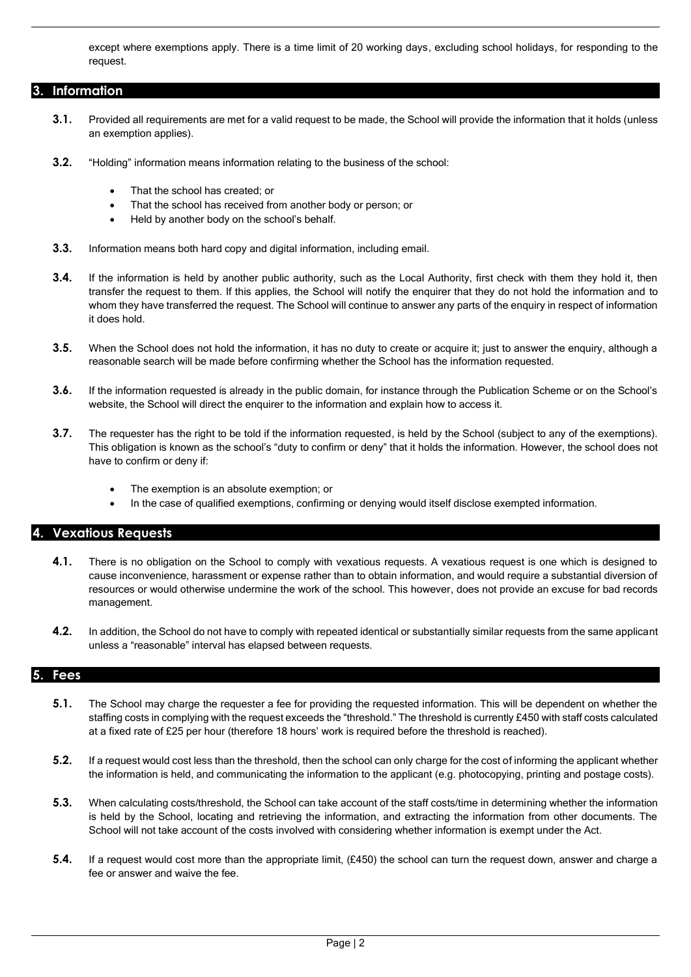except where exemptions apply. There is a time limit of 20 working days, excluding school holidays, for responding to the request.

# **3. Information**

- **3.1.** Provided all requirements are met for a valid request to be made, the School will provide the information that it holds (unless an exemption applies).
- **3.2.** "Holding" information means information relating to the business of the school:
	- That the school has created; or
	- That the school has received from another body or person; or
	- Held by another body on the school's behalf.
- **3.3.** Information means both hard copy and digital information, including email.
- **3.4.** If the information is held by another public authority, such as the Local Authority, first check with them they hold it, then transfer the request to them. If this applies, the School will notify the enquirer that they do not hold the information and to whom they have transferred the request. The School will continue to answer any parts of the enquiry in respect of information it does hold.
- **3.5.** When the School does not hold the information, it has no duty to create or acquire it; just to answer the enquiry, although a reasonable search will be made before confirming whether the School has the information requested.
- **3.6.** If the information requested is already in the public domain, for instance through the Publication Scheme or on the School's website, the School will direct the enquirer to the information and explain how to access it.
- **3.7.** The requester has the right to be told if the information requested, is held by the School (subject to any of the exemptions). This obligation is known as the school's "duty to confirm or deny" that it holds the information. However, the school does not have to confirm or deny if:
	- The exemption is an absolute exemption; or
	- In the case of qualified exemptions, confirming or denying would itself disclose exempted information.

# **4. Vexatious Requests**

- **4.1.** There is no obligation on the School to comply with vexatious requests. A vexatious request is one which is designed to cause inconvenience, harassment or expense rather than to obtain information, and would require a substantial diversion of resources or would otherwise undermine the work of the school. This however, does not provide an excuse for bad records management.
- **4.2.** In addition, the School do not have to comply with repeated identical or substantially similar requests from the same applicant unless a "reasonable" interval has elapsed between requests.

## **5. Fees**

- **5.1.** The School may charge the requester a fee for providing the requested information. This will be dependent on whether the staffing costs in complying with the request exceeds the "threshold." The threshold is currently £450 with staff costs calculated at a fixed rate of £25 per hour (therefore 18 hours' work is required before the threshold is reached).
- **5.2.** If a request would cost less than the threshold, then the school can only charge for the cost of informing the applicant whether the information is held, and communicating the information to the applicant (e.g. photocopying, printing and postage costs).
- **5.3.** When calculating costs/threshold, the School can take account of the staff costs/time in determining whether the information is held by the School, locating and retrieving the information, and extracting the information from other documents. The School will not take account of the costs involved with considering whether information is exempt under the Act.
- **5.4.** If a request would cost more than the appropriate limit, (£450) the school can turn the request down, answer and charge a fee or answer and waive the fee.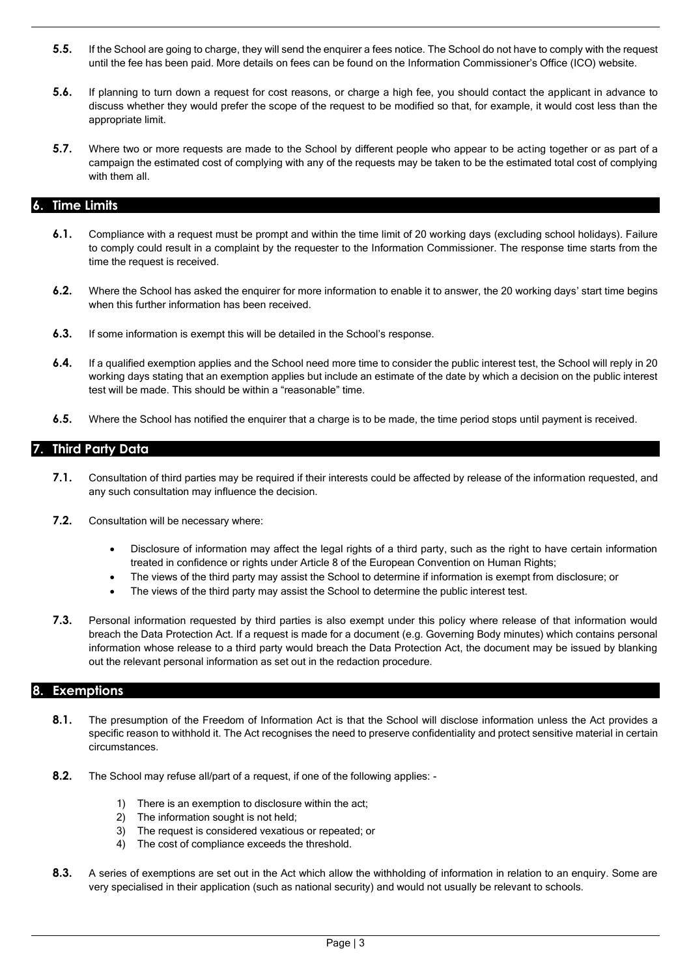- **5.5.** If the School are going to charge, they will send the enquirer a fees notice. The School do not have to comply with the request until the fee has been paid. More details on fees can be found on the Information Commissioner's Office (ICO) website.
- **5.6.** If planning to turn down a request for cost reasons, or charge a high fee, you should contact the applicant in advance to discuss whether they would prefer the scope of the request to be modified so that, for example, it would cost less than the appropriate limit.
- **5.7.** Where two or more requests are made to the School by different people who appear to be acting together or as part of a campaign the estimated cost of complying with any of the requests may be taken to be the estimated total cost of complying with them all.

# **6. Time Limits**

- **6.1.** Compliance with a request must be prompt and within the time limit of 20 working days (excluding school holidays). Failure to comply could result in a complaint by the requester to the Information Commissioner. The response time starts from the time the request is received.
- **6.2.** Where the School has asked the enquirer for more information to enable it to answer, the 20 working days' start time begins when this further information has been received.
- **6.3.** If some information is exempt this will be detailed in the School's response.
- **6.4.** If a qualified exemption applies and the School need more time to consider the public interest test, the School will reply in 20 working days stating that an exemption applies but include an estimate of the date by which a decision on the public interest test will be made. This should be within a "reasonable" time.
- **6.5.** Where the School has notified the enquirer that a charge is to be made, the time period stops until payment is received.

## **7. Third Party Data**

- **7.1.** Consultation of third parties may be required if their interests could be affected by release of the information requested, and any such consultation may influence the decision.
- **7.2.** Consultation will be necessary where:
	- Disclosure of information may affect the legal rights of a third party, such as the right to have certain information treated in confidence or rights under Article 8 of the European Convention on Human Rights;
	- The views of the third party may assist the School to determine if information is exempt from disclosure; or
	- The views of the third party may assist the School to determine the public interest test.
- **7.3.** Personal information requested by third parties is also exempt under this policy where release of that information would breach the Data Protection Act. If a request is made for a document (e.g. Governing Body minutes) which contains personal information whose release to a third party would breach the Data Protection Act, the document may be issued by blanking out the relevant personal information as set out in the redaction procedure.

#### **8. Exemptions**

- **8.1.** The presumption of the Freedom of Information Act is that the School will disclose information unless the Act provides a specific reason to withhold it. The Act recognises the need to preserve confidentiality and protect sensitive material in certain circumstances.
- **8.2.** The School may refuse all/part of a request, if one of the following applies: -
	- 1) There is an exemption to disclosure within the act;
	- 2) The information sought is not held;
	- 3) The request is considered vexatious or repeated; or
	- 4) The cost of compliance exceeds the threshold.
- **8.3.** A series of exemptions are set out in the Act which allow the withholding of information in relation to an enquiry. Some are very specialised in their application (such as national security) and would not usually be relevant to schools.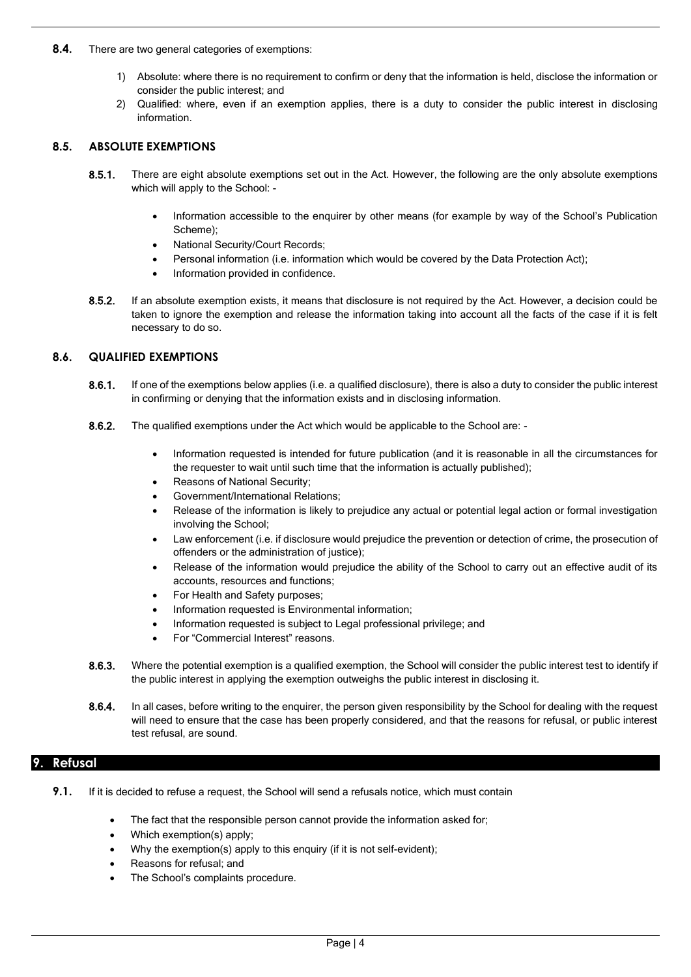- **8.4.** There are two general categories of exemptions:
	- 1) Absolute: where there is no requirement to confirm or deny that the information is held, disclose the information or consider the public interest; and
	- 2) Qualified: where, even if an exemption applies, there is a duty to consider the public interest in disclosing information.

#### **8.5. ABSOLUTE EXEMPTIONS**

- 8.5.1. There are eight absolute exemptions set out in the Act. However, the following are the only absolute exemptions which will apply to the School: -
	- Information accessible to the enquirer by other means (for example by way of the School's Publication Scheme);
	- National Security/Court Records;
	- Personal information (i.e. information which would be covered by the Data Protection Act);
	- Information provided in confidence.
- 8.5.2. If an absolute exemption exists, it means that disclosure is not required by the Act. However, a decision could be taken to ignore the exemption and release the information taking into account all the facts of the case if it is felt necessary to do so.

#### **8.6. QUALIFIED EXEMPTIONS**

- 8.6.1. If one of the exemptions below applies (i.e. a qualified disclosure), there is also a duty to consider the public interest in confirming or denying that the information exists and in disclosing information.
- 8.6.2. The qualified exemptions under the Act which would be applicable to the School are: -
	- Information requested is intended for future publication (and it is reasonable in all the circumstances for the requester to wait until such time that the information is actually published);
	- Reasons of National Security;
	- Government/International Relations;
	- Release of the information is likely to prejudice any actual or potential legal action or formal investigation involving the School;
	- Law enforcement (i.e. if disclosure would prejudice the prevention or detection of crime, the prosecution of offenders or the administration of justice);
	- Release of the information would prejudice the ability of the School to carry out an effective audit of its accounts, resources and functions;
	- For Health and Safety purposes;
	- Information requested is Environmental information;
	- Information requested is subject to Legal professional privilege; and
	- For "Commercial Interest" reasons.
- 8.6.3. Where the potential exemption is a qualified exemption, the School will consider the public interest test to identify if the public interest in applying the exemption outweighs the public interest in disclosing it.
- 8.6.4. In all cases, before writing to the enquirer, the person given responsibility by the School for dealing with the request will need to ensure that the case has been properly considered, and that the reasons for refusal, or public interest test refusal, are sound.

## **9. Refusal**

- **9.1.** If it is decided to refuse a request, the School will send a refusals notice, which must contain
	- The fact that the responsible person cannot provide the information asked for;
	- Which exemption(s) apply;
	- Why the exemption(s) apply to this enquiry (if it is not self-evident);
	- Reasons for refusal; and
	- The School's complaints procedure.